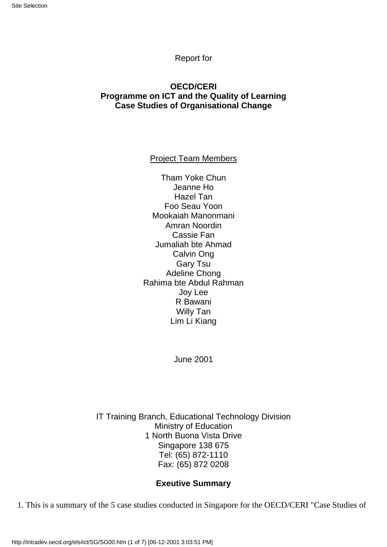#### Report for

#### **OECD/CERI Programme on ICT and the Quality of Learning Case Studies of Organisational Change**

Project Team Members

Tham Yoke Chun Jeanne Ho Hazel Tan Foo Seau Yoon Mookaiah Manonmani Amran Noordin Cassie Fan Jumaliah bte Ahmad Calvin Ong Gary Tsu Adeline Chong Rahima bte Abdul Rahman Joy Lee R Bawani Willy Tan Lim Li Kiang

June 2001

IT Training Branch, Educational Technology Division Ministry of Education 1 North Buona Vista Drive Singapore 138 675 Tel: (65) 872-1110 Fax: (65) 872 0208

#### **Exeutive Summary**

1. This is a summary of the 5 case studies conducted in Singapore for the OECD/CERI "Case Studies of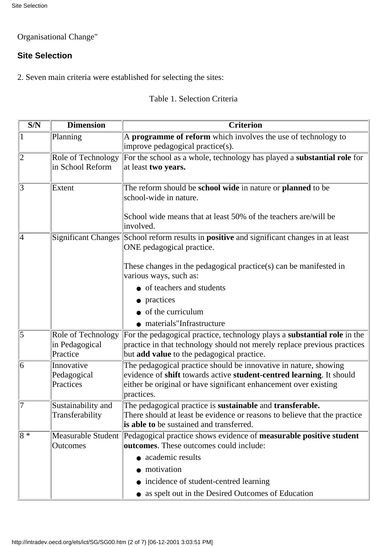# Organisational Change"

# **Site Selection**

2. Seven main criteria were established for selecting the sites:

# Table 1. Selection Criteria

| $\overline{\text{S/N}}$ | <b>Dimension</b>                                 | <b>Criterion</b>                                                                                                                                                                                                           |  |  |  |  |
|-------------------------|--------------------------------------------------|----------------------------------------------------------------------------------------------------------------------------------------------------------------------------------------------------------------------------|--|--|--|--|
| $\mathbf{1}$            | Planning                                         | A programme of reform which involves the use of technology to<br>improve pedagogical practice(s).                                                                                                                          |  |  |  |  |
| $\overline{2}$          | Role of Technology<br>in School Reform           | For the school as a whole, technology has played a substantial role for<br>at least two years.                                                                                                                             |  |  |  |  |
| $\overline{3}$          | Extent                                           | The reform should be school wide in nature or planned to be<br>school-wide in nature.<br>School wide means that at least 50% of the teachers are/will be                                                                   |  |  |  |  |
|                         |                                                  | involved.                                                                                                                                                                                                                  |  |  |  |  |
| 4                       |                                                  | Significant Changes School reform results in <b>positive</b> and significant changes in at least<br>ONE pedagogical practice.                                                                                              |  |  |  |  |
|                         |                                                  | These changes in the pedagogical practice(s) can be manifested in<br>various ways, such as:                                                                                                                                |  |  |  |  |
|                         |                                                  | • of teachers and students                                                                                                                                                                                                 |  |  |  |  |
|                         |                                                  | • practices                                                                                                                                                                                                                |  |  |  |  |
|                         |                                                  | $\bullet$ of the curriculum                                                                                                                                                                                                |  |  |  |  |
|                         |                                                  | • materials"Infrastructure                                                                                                                                                                                                 |  |  |  |  |
| $\overline{5}$          | Role of Technology<br>in Pedagogical<br>Practice | For the pedagogical practice, technology plays a substantial role in the<br>practice in that technology should not merely replace previous practices<br>but add value to the pedagogical practice.                         |  |  |  |  |
| 6                       | Innovative<br>Pedagogical<br>Practices           | The pedagogical practice should be innovative in nature, showing<br>evidence of shift towards active student-centred learning. It should<br>either be original or have significant enhancement over existing<br>practices. |  |  |  |  |
| 17                      | Sustainability and<br>Transferability            | The pedagogical practice is sustainable and transferable.<br>There should at least be evidence or reasons to believe that the practice<br>is able to be sustained and transferred.                                         |  |  |  |  |
| $\overline{8*}$         | Outcomes                                         | Measurable Student Pedagogical practice shows evidence of measurable positive student<br>outcomes. These outcomes could include:                                                                                           |  |  |  |  |
|                         |                                                  | • academic results                                                                                                                                                                                                         |  |  |  |  |
|                         |                                                  | • motivation                                                                                                                                                                                                               |  |  |  |  |
|                         |                                                  | • incidence of student-centred learning                                                                                                                                                                                    |  |  |  |  |
|                         |                                                  | • as spelt out in the Desired Outcomes of Education                                                                                                                                                                        |  |  |  |  |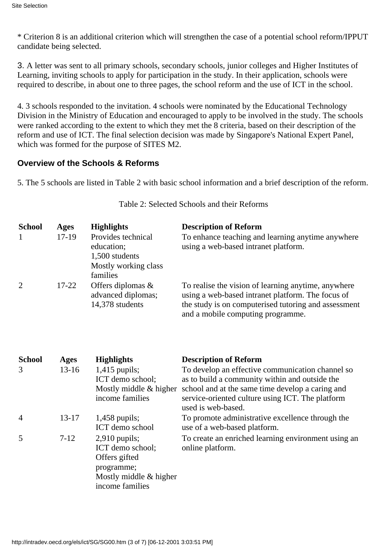\* Criterion 8 is an additional criterion which will strengthen the case of a potential school reform/IPPUT candidate being selected.

3. A letter was sent to all primary schools, secondary schools, junior colleges and Higher Institutes of Learning, inviting schools to apply for participation in the study. In their application, schools were required to describe, in about one to three pages, the school reform and the use of ICT in the school.

4. 3 schools responded to the invitation. 4 schools were nominated by the Educational Technology Division in the Ministry of Education and encouraged to apply to be involved in the study. The schools were ranked according to the extent to which they met the 8 criteria, based on their description of the reform and use of ICT. The final selection decision was made by Singapore's National Expert Panel, which was formed for the purpose of SITES M2.

# **Overview of the Schools & Reforms**

5. The 5 schools are listed in Table 2 with basic school information and a brief description of the reform.

| <b>School</b><br>1 | <b>Ages</b><br>17-19 | <b>Highlights</b><br>Provides technical<br>education;<br>1,500 students<br>Mostly working class<br>families | <b>Description of Reform</b><br>To enhance teaching and learning anytime anywhere<br>using a web-based intranet platform.                                                                                  |
|--------------------|----------------------|-------------------------------------------------------------------------------------------------------------|------------------------------------------------------------------------------------------------------------------------------------------------------------------------------------------------------------|
| $\overline{2}$     | $17 - 22$            | Offers diplomas &<br>advanced diplomas;<br>14,378 students                                                  | To realise the vision of learning anytime, anywhere<br>using a web-based intranet platform. The focus of<br>the study is on computerised tutoring and assessment<br>and a mobile computing programme.      |
| <b>School</b>      | <b>Ages</b>          | <b>Highlights</b>                                                                                           | <b>Description of Reform</b>                                                                                                                                                                               |
| 3                  | $13 - 16$            | $1,415$ pupils;<br>ICT demo school;<br>Mostly middle & higher<br>income families                            | To develop an effective communication channel so<br>as to build a community within and outside the<br>school and at the same time develop a caring and<br>service-oriented culture using ICT. The platform |
|                    |                      |                                                                                                             | used is web-based.                                                                                                                                                                                         |
| 4                  | $13 - 17$            | $1,458$ pupils;<br>ICT demo school                                                                          | To promote administrative excellence through the<br>use of a web-based platform.                                                                                                                           |

Table 2: Selected Schools and their Reforms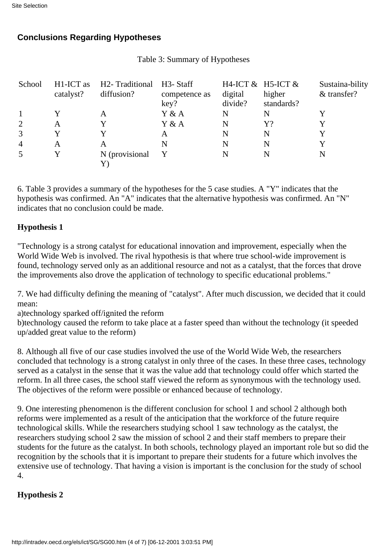# **Conclusions Regarding Hypotheses**

| School         | H <sub>1</sub> -ICT as<br>catalyst? | H <sub>2</sub> -Traditional<br>diffusion? | H3- Staff<br>competence as<br>key? | H4-ICT $&$ H5-ICT $&$<br>digital<br>divide? | higher<br>standards? | Sustaina-bility<br>& transfer? |
|----------------|-------------------------------------|-------------------------------------------|------------------------------------|---------------------------------------------|----------------------|--------------------------------|
|                | Y                                   | A                                         | Y & A                              | N                                           | N                    |                                |
| $\overline{2}$ | A                                   | Y                                         | Y & A                              | N                                           | Y?                   |                                |
| 3              | Y                                   | Y                                         | A                                  | N                                           | N                    |                                |
| $\overline{4}$ | A                                   | A                                         | N                                  | N                                           | N                    |                                |
| 5              | Y                                   | N (provisional                            |                                    | N                                           | N                    | N                              |

Table 3: Summary of Hypotheses

6. Table 3 provides a summary of the hypotheses for the 5 case studies. A "Y" indicates that the hypothesis was confirmed. An "A" indicates that the alternative hypothesis was confirmed. An "N" indicates that no conclusion could be made.

## **Hypothesis 1**

"Technology is a strong catalyst for educational innovation and improvement, especially when the World Wide Web is involved. The rival hypothesis is that where true school-wide improvement is found, technology served only as an additional resource and not as a catalyst, that the forces that drove the improvements also drove the application of technology to specific educational problems."

7. We had difficulty defining the meaning of "catalyst". After much discussion, we decided that it could mean:

a)technology sparked off/ignited the reform

b)technology caused the reform to take place at a faster speed than without the technology (it speeded up/added great value to the reform)

8. Although all five of our case studies involved the use of the World Wide Web, the researchers concluded that technology is a strong catalyst in only three of the cases. In these three cases, technology served as a catalyst in the sense that it was the value add that technology could offer which started the reform. In all three cases, the school staff viewed the reform as synonymous with the technology used. The objectives of the reform were possible or enhanced because of technology.

9. One interesting phenomenon is the different conclusion for school 1 and school 2 although both reforms were implemented as a result of the anticipation that the workforce of the future require technological skills. While the researchers studying school 1 saw technology as the catalyst, the researchers studying school 2 saw the mission of school 2 and their staff members to prepare their students for the future as the catalyst. In both schools, technology played an important role but so did the recognition by the schools that it is important to prepare their students for a future which involves the extensive use of technology. That having a vision is important is the conclusion for the study of school 4.

## **Hypothesis 2**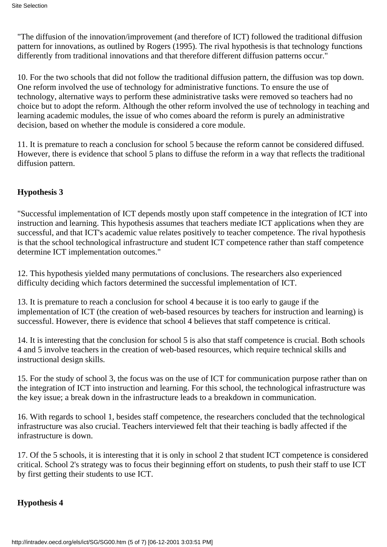"The diffusion of the innovation/improvement (and therefore of ICT) followed the traditional diffusion pattern for innovations, as outlined by Rogers (1995). The rival hypothesis is that technology functions differently from traditional innovations and that therefore different diffusion patterns occur."

10. For the two schools that did not follow the traditional diffusion pattern, the diffusion was top down. One reform involved the use of technology for administrative functions. To ensure the use of technology, alternative ways to perform these administrative tasks were removed so teachers had no choice but to adopt the reform. Although the other reform involved the use of technology in teaching and learning academic modules, the issue of who comes aboard the reform is purely an administrative decision, based on whether the module is considered a core module.

11. It is premature to reach a conclusion for school 5 because the reform cannot be considered diffused. However, there is evidence that school 5 plans to diffuse the reform in a way that reflects the traditional diffusion pattern.

# **Hypothesis 3**

"Successful implementation of ICT depends mostly upon staff competence in the integration of ICT into instruction and learning. This hypothesis assumes that teachers mediate ICT applications when they are successful, and that ICT's academic value relates positively to teacher competence. The rival hypothesis is that the school technological infrastructure and student ICT competence rather than staff competence determine ICT implementation outcomes."

12. This hypothesis yielded many permutations of conclusions. The researchers also experienced difficulty deciding which factors determined the successful implementation of ICT.

13. It is premature to reach a conclusion for school 4 because it is too early to gauge if the implementation of ICT (the creation of web-based resources by teachers for instruction and learning) is successful. However, there is evidence that school 4 believes that staff competence is critical.

14. It is interesting that the conclusion for school 5 is also that staff competence is crucial. Both schools 4 and 5 involve teachers in the creation of web-based resources, which require technical skills and instructional design skills.

15. For the study of school 3, the focus was on the use of ICT for communication purpose rather than on the integration of ICT into instruction and learning. For this school, the technological infrastructure was the key issue; a break down in the infrastructure leads to a breakdown in communication.

16. With regards to school 1, besides staff competence, the researchers concluded that the technological infrastructure was also crucial. Teachers interviewed felt that their teaching is badly affected if the infrastructure is down.

17. Of the 5 schools, it is interesting that it is only in school 2 that student ICT competence is considered critical. School 2's strategy was to focus their beginning effort on students, to push their staff to use ICT by first getting their students to use ICT.

## **Hypothesis 4**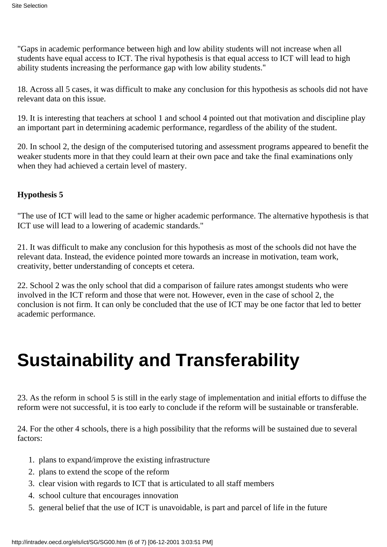"Gaps in academic performance between high and low ability students will not increase when all students have equal access to ICT. The rival hypothesis is that equal access to ICT will lead to high ability students increasing the performance gap with low ability students."

18. Across all 5 cases, it was difficult to make any conclusion for this hypothesis as schools did not have relevant data on this issue.

19. It is interesting that teachers at school 1 and school 4 pointed out that motivation and discipline play an important part in determining academic performance, regardless of the ability of the student.

20. In school 2, the design of the computerised tutoring and assessment programs appeared to benefit the weaker students more in that they could learn at their own pace and take the final examinations only when they had achieved a certain level of mastery.

## **Hypothesis 5**

"The use of ICT will lead to the same or higher academic performance. The alternative hypothesis is that ICT use will lead to a lowering of academic standards."

21. It was difficult to make any conclusion for this hypothesis as most of the schools did not have the relevant data. Instead, the evidence pointed more towards an increase in motivation, team work, creativity, better understanding of concepts et cetera.

22. School 2 was the only school that did a comparison of failure rates amongst students who were involved in the ICT reform and those that were not. However, even in the case of school 2, the conclusion is not firm. It can only be concluded that the use of ICT may be one factor that led to better academic performance.

# **Sustainability and Transferability**

23. As the reform in school 5 is still in the early stage of implementation and initial efforts to diffuse the reform were not successful, it is too early to conclude if the reform will be sustainable or transferable.

24. For the other 4 schools, there is a high possibility that the reforms will be sustained due to several factors:

- 1. plans to expand/improve the existing infrastructure
- 2. plans to extend the scope of the reform
- 3. clear vision with regards to ICT that is articulated to all staff members
- 4. school culture that encourages innovation
- 5. general belief that the use of ICT is unavoidable, is part and parcel of life in the future